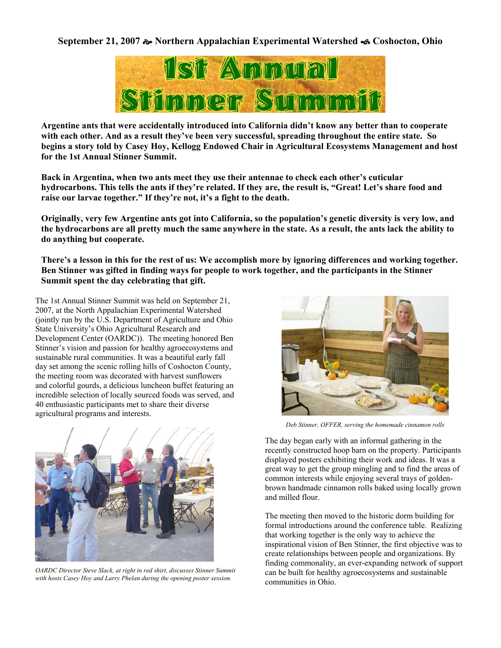# **September 21, 2007** [ **Northern Appalachian Experimental Watershed** \ **Coshocton, Ohio**



**Argentine ants that were accidentally introduced into California didn't know any better than to cooperate with each other. And as a result they've been very successful, spreading throughout the entire state. So begins a story told by Casey Hoy, Kellogg Endowed Chair in Agricultural Ecosystems Management and host for the 1st Annual Stinner Summit.** 

**Back in Argentina, when two ants meet they use their antennae to check each other's cuticular hydrocarbons. This tells the ants if they're related. If they are, the result is, "Great! Let's share food and raise our larvae together." If they're not, it's a fight to the death.** 

**Originally, very few Argentine ants got into California, so the population's genetic diversity is very low, and the hydrocarbons are all pretty much the same anywhere in the state. As a result, the ants lack the ability to do anything but cooperate.** 

**There's a lesson in this for the rest of us: We accomplish more by ignoring differences and working together. Ben Stinner was gifted in finding ways for people to work together, and the participants in the Stinner Summit spent the day celebrating that gift.** 

The 1st Annual Stinner Summit was held on September 21, 2007, at the North Appalachian Experimental Watershed (jointly run by the U.S. Department of Agriculture and Ohio State University's Ohio Agricultural Research and Development Center (OARDC)). The meeting honored Ben Stinner's vision and passion for healthy agroecosystems and sustainable rural communities. It was a beautiful early fall day set among the scenic rolling hills of Coshocton County, the meeting room was decorated with harvest sunflowers and colorful gourds, a delicious luncheon buffet featuring an incredible selection of locally sourced foods was served, and 40 enthusiastic participants met to share their diverse agricultural programs and interests.



*OARDC Director Steve Slack, at right in red shirt, discusses Stinner Summit with hosts Casey Hoy and Larry Phelan during the opening poster session.*



*Deb Stinner, OFFER, serving the homemade cinnamon rolls* 

The day began early with an informal gathering in the recently constructed hoop barn on the property. Participants displayed posters exhibiting their work and ideas. It was a great way to get the group mingling and to find the areas of common interests while enjoying several trays of goldenbrown handmade cinnamon rolls baked using locally grown and milled flour.

The meeting then moved to the historic dorm building for formal introductions around the conference table. Realizing that working together is the only way to achieve the inspirational vision of Ben Stinner, the first objective was to create relationships between people and organizations. By finding commonality, an ever-expanding network of support can be built for healthy agroecosystems and sustainable communities in Ohio.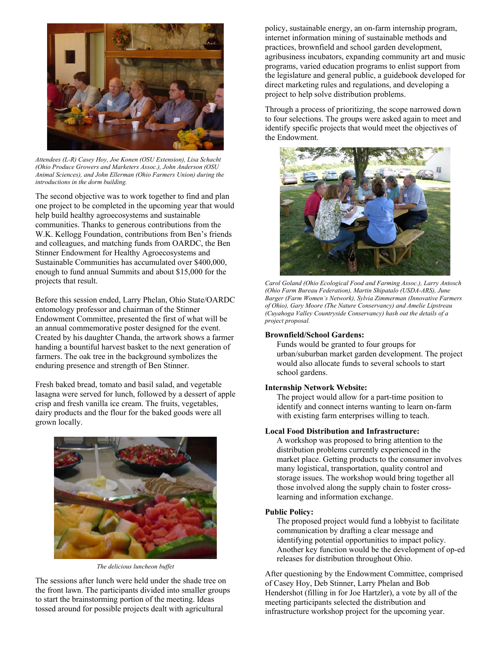

*Attendees (L-R) Casey Hoy, Joe Konen (OSU Extension), Lisa Schacht (Ohio Produce Growers and Marketers Assoc.), John Anderson (OSU Animal Sciences), and John Ellerman (Ohio Farmers Union) during the introductions in the dorm building.* 

The second objective was to work together to find and plan one project to be completed in the upcoming year that would help build healthy agroecosystems and sustainable communities. Thanks to generous contributions from the W.K. Kellogg Foundation, contributions from Ben's friends and colleagues, and matching funds from OARDC, the Ben Stinner Endowment for Healthy Agroecosystems and Sustainable Communities has accumulated over \$400,000, enough to fund annual Summits and about \$15,000 for the projects that result.

Before this session ended, Larry Phelan, Ohio State/OARDC entomology professor and chairman of the Stinner Endowment Committee, presented the first of what will be an annual commemorative poster designed for the event. Created by his daughter Chanda, the artwork shows a farmer handing a bountiful harvest basket to the next generation of farmers. The oak tree in the background symbolizes the enduring presence and strength of Ben Stinner.

Fresh baked bread, tomato and basil salad, and vegetable lasagna were served for lunch, followed by a dessert of apple crisp and fresh vanilla ice cream. The fruits, vegetables, dairy products and the flour for the baked goods were all grown locally.



*The delicious luncheon buffet* 

The sessions after lunch were held under the shade tree on the front lawn. The participants divided into smaller groups to start the brainstorming portion of the meeting. Ideas tossed around for possible projects dealt with agricultural

policy, sustainable energy, an on-farm internship program, internet information mining of sustainable methods and practices, brownfield and school garden development, agribusiness incubators, expanding community art and music programs, varied education programs to enlist support from the legislature and general public, a guidebook developed for direct marketing rules and regulations, and developing a project to help solve distribution problems.

Through a process of prioritizing, the scope narrowed down to four selections. The groups were asked again to meet and identify specific projects that would meet the objectives of the Endowment.



*Carol Goland (Ohio Ecological Food and Farming Assoc.), Larry Antosch (Ohio Farm Bureau Federation), Martin Shipatalo (USDA-ARS), June Barger (Farm Women's Network), Sylvia Zimmerman (Innovative Farmers of Ohio), Gary Moore (The Nature Conservancy) and Amelie Lipstreau (Cuyahoga Valley Countryside Conservancy) hash out the details of a project proposal.* 

# **Brownfield/School Gardens:**

Funds would be granted to four groups for urban/suburban market garden development. The project would also allocate funds to several schools to start school gardens.

# **Internship Network Website:**

The project would allow for a part-time position to identify and connect interns wanting to learn on-farm with existing farm enterprises willing to teach.

### **Local Food Distribution and Infrastructure:**

A workshop was proposed to bring attention to the distribution problems currently experienced in the market place. Getting products to the consumer involves many logistical, transportation, quality control and storage issues. The workshop would bring together all those involved along the supply chain to foster crosslearning and information exchange.

### **Public Policy:**

The proposed project would fund a lobbyist to facilitate communication by drafting a clear message and identifying potential opportunities to impact policy. Another key function would be the development of op-ed releases for distribution throughout Ohio.

After questioning by the Endowment Committee, comprised of Casey Hoy, Deb Stinner, Larry Phelan and Bob Hendershot (filling in for Joe Hartzler), a vote by all of the meeting participants selected the distribution and infrastructure workshop project for the upcoming year.